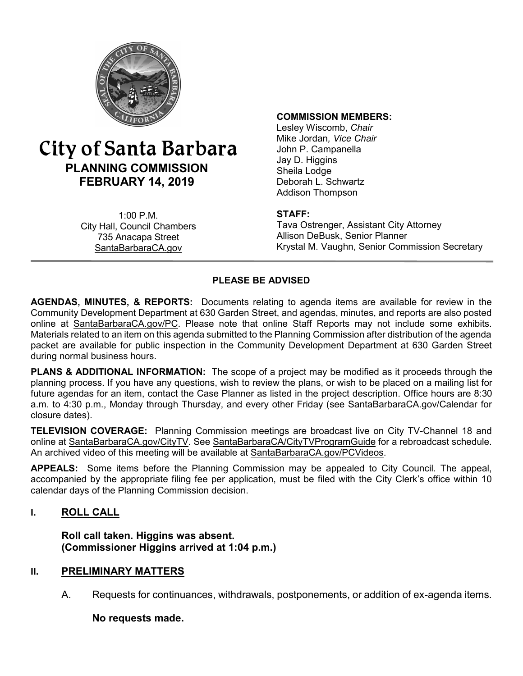

# City of Santa Barbara **PLANNING COMMISSION FEBRUARY 14, 2019**

1:00 P.M. City Hall, Council Chambers 735 Anacapa Street SantaBarbaraCA.gov

#### **COMMISSION MEMBERS:**

Lesley Wiscomb, *Chair* Mike Jordan*, Vice Chair* John P. Campanella Jay D. Higgins Sheila Lodge Deborah L. Schwartz Addison Thompson

#### **STAFF:**

Tava Ostrenger, Assistant City Attorney Allison DeBusk, Senior Planner Krystal M. Vaughn, Senior Commission Secretary

#### **PLEASE BE ADVISED**

**AGENDAS, MINUTES, & REPORTS:** Documents relating to agenda items are available for review in the Community Development Department at 630 Garden Street, and agendas, minutes, and reports are also posted online at [SantaBarbaraCA.gov/PC](http://www.santabarbaraca.gov/PC). Please note that online Staff Reports may not include some exhibits. Materials related to an item on this agenda submitted to the Planning Commission after distribution of the agenda packet are available for public inspection in the Community Development Department at 630 Garden Street during normal business hours.

**PLANS & ADDITIONAL INFORMATION:** The scope of a project may be modified as it proceeds through the planning process. If you have any questions, wish to review the plans, or wish to be placed on a mailing list for future agendas for an item, contact the Case Planner as listed in the project description. Office hours are 8:30 a.m. to 4:30 p.m., Monday through Thursday, and every other Friday (see [SantaBarbaraCA.gov/Calendar](http://www.santabarbaraca.gov/cals/default.asp) for closure dates).

**TELEVISION COVERAGE:** Planning Commission meetings are broadcast live on City TV-Channel 18 and online at [SantaBarbaraCA.gov/CityTV.](http://www.santabarbaraca.gov/CityTV) See [SantaBarbaraCA/CityTVProgramGuide](http://www.santabarbaraca.gov/gov/depts/cityadmin/programming.asp) for a rebroadcast schedule. An archived video of this meeting will be available at [SantaBarbaraCA.gov/PCVideos](http://www.santabarbaraca.gov/PCVideos).

**APPEALS:** Some items before the Planning Commission may be appealed to City Council. The appeal, accompanied by the appropriate filing fee per application, must be filed with the City Clerk's office within 10 calendar days of the Planning Commission decision.

#### **I. ROLL CALL**

**Roll call taken. Higgins was absent. (Commissioner Higgins arrived at 1:04 p.m.)**

#### **PRELIMINARY MATTERS II.**

A. Requests for continuances, withdrawals, postponements, or addition of ex-agenda items.

#### **No requests made.**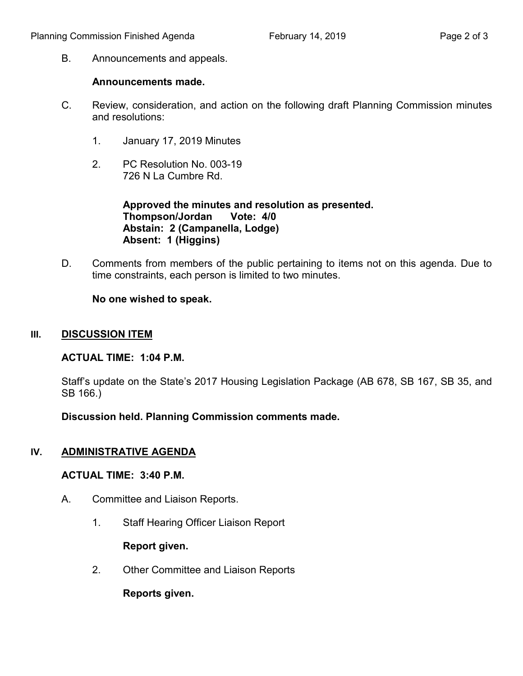B. Announcements and appeals.

#### **Announcements made.**

- C. Review, consideration, and action on the following draft Planning Commission minutes and resolutions:
	- 1. January 17, 2019 Minutes
	- 2. PC Resolution No. 003-19 726 N La Cumbre Rd.

**Approved the minutes and resolution as presented. Thompson/Jordan Vote: 4/0 Abstain: 2 (Campanella, Lodge) Absent: 1 (Higgins)**

D. Comments from members of the public pertaining to items not on this agenda. Due to time constraints, each person is limited to two minutes.

**No one wished to speak.**

#### **III. DISCUSSION ITEM**

#### **ACTUAL TIME: 1:04 P.M.**

Staff's update on the State's 2017 Housing Legislation Package (AB 678, SB 167, SB 35, and SB 166.)

**Discussion held. Planning Commission comments made.**

### **IV. ADMINISTRATIVE AGENDA**

#### **ACTUAL TIME: 3:40 P.M.**

- A. Committee and Liaison Reports.
	- 1. Staff Hearing Officer Liaison Report

### **Report given.**

2. Other Committee and Liaison Reports

**Reports given.**